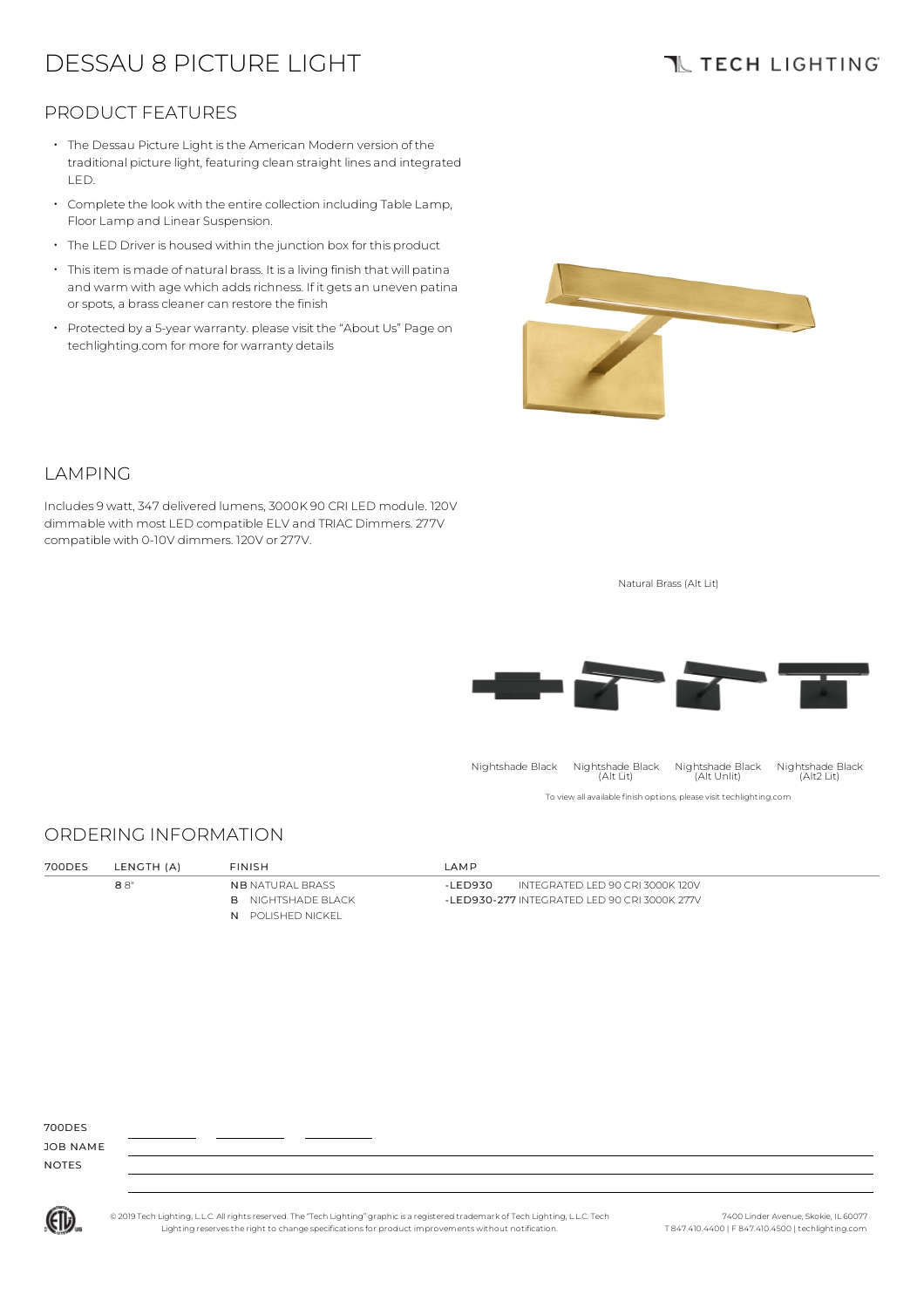# DESSAU 8 PICTURE LIGHT

# **TL TECH LIGHTING**

### PRODUCT FEATURES

- The Dessau Picture Light isthe American Modern version of the traditional picture light, featuring clean straight lines and integrated LED.
- Complete the look with the entire collection including Table Lamp, Floor Lamp and Linear Suspension.
- The LED Driver is housed within the junction box for this product
- Thisitem is made of natural brass. It is a living finish that will patina and warm with age which adds richness. If it gets an uneven patina or spots, a brass cleaner can restore the finish •
- Protected by a 5-year warranty. please visit the "About Us" Page on techlighting.com for more for warranty details



### LAMPING

Includes 9 watt, 347 delivered lumens, 3000K 90 CRI LED module. 120V dimmable with most LED compatible ELV and TRIAC Dimmers. 277V compatible with 0-10V dimmers. 120V or 277V.

Natural Brass (Alt Lit)



#### ORDERING INFORMATION

| 700DES | LENGTH (A) | <b>FINISH</b>             | IAMP                                         |  |
|--------|------------|---------------------------|----------------------------------------------|--|
|        | 88"        | <b>NB NATURAL BRASS</b>   | INTEGRATED LED 90 CRI 3000K 120V<br>-I FD930 |  |
|        |            | <b>B</b> NIGHTSHADE BLACK | -LED930-277 INTEGRATED LED 90 CRI 3000K 277V |  |
|        |            | N POLISHED NICKEL         |                                              |  |

700DES

JOB NAME NOTES



© 2019 Tech Lighting, L.L.C. All rightsreserved. The "Tech Lighting" graphicis a registered trademark of Tech Lighting, L.L.C. Tech Lighting reservesthe right to change specificationsfor product improvements without notification.

7400 Linder Avenue, Skokie, IL 60077 T 847.410.4400 | F 847.410.4500 | techlighting.com